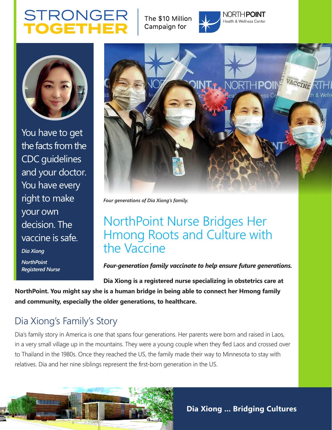# **STRONGER**

The \$10 Million Campaign for



NORTH**POINT** Health & Wellness Center



You have to get the facts from the CDC guidelines and your doctor. You have every right to make your own decision. The vaccine is safe. *Dia Xiong*

*NorthPoint Registered Nurse*



*Four generations of Dia Xiong's family.*

## NorthPoint Nurse Bridges Her Hmong Roots and Culture with the Vaccine

*Four-generation family vaccinate to help ensure future generations.*

**Dia Xiong is a registered nurse specializing in obstetrics care at NorthPoint. You might say she is a human bridge in being able to connect her Hmong family and community, especially the older generations, to healthcare.** 

## Dia Xiong's Family's Story

Dia's family story in America is one that spans four generations. Her parents were born and raised in Laos, in a very small village up in the mountains. They were a young couple when they fled Laos and crossed over to Thailand in the 1980s. Once they reached the US, the family made their way to Minnesota to stay with relatives. Dia and her nine siblings represent the first-born generation in the US.



**Dia Xiong ... Bridging Cultures**